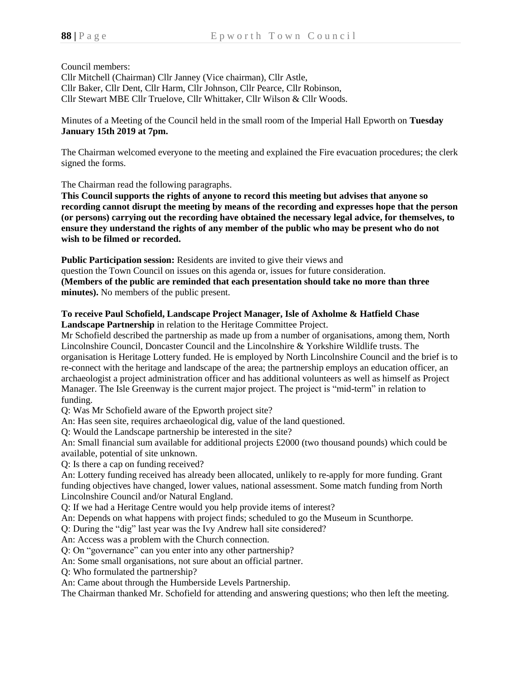Council members:

Cllr Mitchell (Chairman) Cllr Janney (Vice chairman), Cllr Astle, Cllr Baker, Cllr Dent, Cllr Harm, Cllr Johnson, Cllr Pearce, Cllr Robinson, Cllr Stewart MBE Cllr Truelove, Cllr Whittaker, Cllr Wilson & Cllr Woods.

Minutes of a Meeting of the Council held in the small room of the Imperial Hall Epworth on **Tuesday January 15th 2019 at 7pm.**

The Chairman welcomed everyone to the meeting and explained the Fire evacuation procedures; the clerk signed the forms.

The Chairman read the following paragraphs.

**This Council supports the rights of anyone to record this meeting but advises that anyone so recording cannot disrupt the meeting by means of the recording and expresses hope that the person (or persons) carrying out the recording have obtained the necessary legal advice, for themselves, to ensure they understand the rights of any member of the public who may be present who do not wish to be filmed or recorded.**

**Public Participation session:** Residents are invited to give their views and question the Town Council on issues on this agenda or, issues for future consideration. **(Members of the public are reminded that each presentation should take no more than three minutes).** No members of the public present.

## **To receive Paul Schofield, Landscape Project Manager, Isle of Axholme & Hatfield Chase Landscape Partnership** in relation to the Heritage Committee Project.

Mr Schofield described the partnership as made up from a number of organisations, among them, North Lincolnshire Council, Doncaster Council and the Lincolnshire & Yorkshire Wildlife trusts. The organisation is Heritage Lottery funded. He is employed by North Lincolnshire Council and the brief is to re-connect with the heritage and landscape of the area; the partnership employs an education officer, an archaeologist a project administration officer and has additional volunteers as well as himself as Project Manager. The Isle Greenway is the current major project. The project is "mid-term" in relation to funding.

Q: Was Mr Schofield aware of the Epworth project site?

An: Has seen site, requires archaeological dig, value of the land questioned.

Q: Would the Landscape partnership be interested in the site?

An: Small financial sum available for additional projects £2000 (two thousand pounds) which could be available, potential of site unknown.

Q: Is there a cap on funding received?

An: Lottery funding received has already been allocated, unlikely to re-apply for more funding. Grant funding objectives have changed, lower values, national assessment. Some match funding from North Lincolnshire Council and/or Natural England.

Q: If we had a Heritage Centre would you help provide items of interest?

An: Depends on what happens with project finds; scheduled to go the Museum in Scunthorpe.

Q: During the "dig" last year was the Ivy Andrew hall site considered?

An: Access was a problem with the Church connection.

Q: On "governance" can you enter into any other partnership?

An: Some small organisations, not sure about an official partner.

Q: Who formulated the partnership?

An: Came about through the Humberside Levels Partnership.

The Chairman thanked Mr. Schofield for attending and answering questions; who then left the meeting.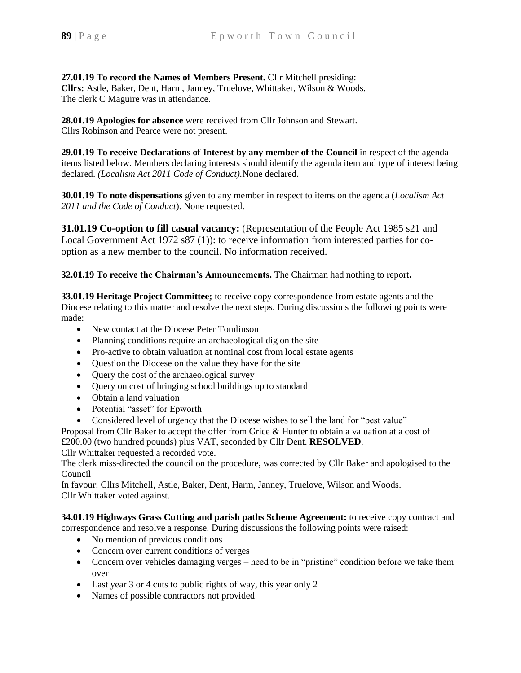**27.01.19 To record the Names of Members Present.** Cllr Mitchell presiding: **Cllrs:** Astle, Baker, Dent, Harm, Janney, Truelove, Whittaker, Wilson & Woods. The clerk C Maguire was in attendance.

**28.01.19 Apologies for absence** were received from Cllr Johnson and Stewart. Cllrs Robinson and Pearce were not present.

**29.01.19 To receive Declarations of Interest by any member of the Council** in respect of the agenda items listed below. Members declaring interests should identify the agenda item and type of interest being declared. *(Localism Act 2011 Code of Conduct).*None declared.

**30.01.19 To note dispensations** given to any member in respect to items on the agenda (*Localism Act 2011 and the Code of Conduct*). None requested.

**31.01.19 Co-option to fill casual vacancy:** (Representation of the People Act 1985 s21 and Local Government Act 1972 s87 (1)): to receive information from interested parties for cooption as a new member to the council. No information received.

**32.01.19 To receive the Chairman's Announcements.** The Chairman had nothing to report**.**

**33.01.19 Heritage Project Committee;** to receive copy correspondence from estate agents and the Diocese relating to this matter and resolve the next steps. During discussions the following points were made:

- New contact at the Diocese Peter Tomlinson
- Planning conditions require an archaeological dig on the site
- Pro-active to obtain valuation at nominal cost from local estate agents
- Question the Diocese on the value they have for the site
- Ouery the cost of the archaeological survey
- Query on cost of bringing school buildings up to standard
- Obtain a land valuation
- Potential "asset" for Epworth
- Considered level of urgency that the Diocese wishes to sell the land for "best value"

Proposal from Cllr Baker to accept the offer from Grice & Hunter to obtain a valuation at a cost of £200.00 (two hundred pounds) plus VAT, seconded by Cllr Dent. **RESOLVED**.

Cllr Whittaker requested a recorded vote.

The clerk miss-directed the council on the procedure, was corrected by Cllr Baker and apologised to the Council

In favour: Cllrs Mitchell, Astle, Baker, Dent, Harm, Janney, Truelove, Wilson and Woods. Cllr Whittaker voted against.

**34.01.19 Highways Grass Cutting and parish paths Scheme Agreement:** to receive copy contract and correspondence and resolve a response. During discussions the following points were raised:

- No mention of previous conditions
- Concern over current conditions of verges
- Concern over vehicles damaging verges need to be in "pristine" condition before we take them over
- Last year 3 or 4 cuts to public rights of way, this year only 2
- Names of possible contractors not provided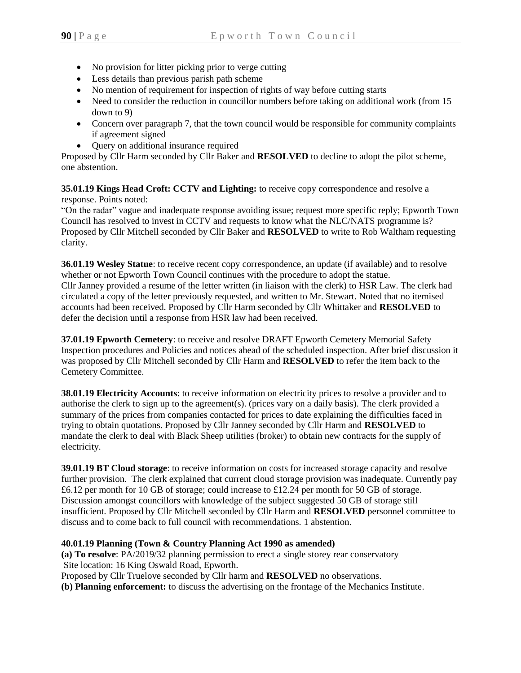- No provision for litter picking prior to verge cutting
- Less details than previous parish path scheme
- No mention of requirement for inspection of rights of way before cutting starts
- Need to consider the reduction in councillor numbers before taking on additional work (from 15 down to 9)
- Concern over paragraph 7, that the town council would be responsible for community complaints if agreement signed
- Query on additional insurance required

Proposed by Cllr Harm seconded by Cllr Baker and **RESOLVED** to decline to adopt the pilot scheme, one abstention.

**35.01.19 Kings Head Croft: CCTV and Lighting:** to receive copy correspondence and resolve a response. Points noted:

"On the radar" vague and inadequate response avoiding issue; request more specific reply; Epworth Town Council has resolved to invest in CCTV and requests to know what the NLC/NATS programme is? Proposed by Cllr Mitchell seconded by Cllr Baker and **RESOLVED** to write to Rob Waltham requesting clarity.

**36.01.19 Wesley Statue**: to receive recent copy correspondence, an update (if available) and to resolve whether or not Epworth Town Council continues with the procedure to adopt the statue. Cllr Janney provided a resume of the letter written (in liaison with the clerk) to HSR Law. The clerk had circulated a copy of the letter previously requested, and written to Mr. Stewart. Noted that no itemised accounts had been received. Proposed by Cllr Harm seconded by Cllr Whittaker and **RESOLVED** to defer the decision until a response from HSR law had been received.

**37.01.19 Epworth Cemetery**: to receive and resolve DRAFT Epworth Cemetery Memorial Safety Inspection procedures and Policies and notices ahead of the scheduled inspection. After brief discussion it was proposed by Cllr Mitchell seconded by Cllr Harm and **RESOLVED** to refer the item back to the Cemetery Committee.

**38.01.19 Electricity Accounts**: to receive information on electricity prices to resolve a provider and to authorise the clerk to sign up to the agreement(s). (prices vary on a daily basis). The clerk provided a summary of the prices from companies contacted for prices to date explaining the difficulties faced in trying to obtain quotations. Proposed by Cllr Janney seconded by Cllr Harm and **RESOLVED** to mandate the clerk to deal with Black Sheep utilities (broker) to obtain new contracts for the supply of electricity.

**39.01.19 BT Cloud storage**: to receive information on costs for increased storage capacity and resolve further provision.The clerk explained that current cloud storage provision was inadequate. Currently pay £6.12 per month for 10 GB of storage; could increase to £12.24 per month for 50 GB of storage. Discussion amongst councillors with knowledge of the subject suggested 50 GB of storage still insufficient. Proposed by Cllr Mitchell seconded by Cllr Harm and **RESOLVED** personnel committee to discuss and to come back to full council with recommendations. 1 abstention.

## **40.01.19 Planning (Town & Country Planning Act 1990 as amended)**

**(a) To resolve**: PA/2019/32 planning permission to erect a single storey rear conservatory Site location: 16 King Oswald Road, Epworth.

Proposed by Cllr Truelove seconded by Cllr harm and **RESOLVED** no observations.

**(b) Planning enforcement:** to discuss the advertising on the frontage of the Mechanics Institute.